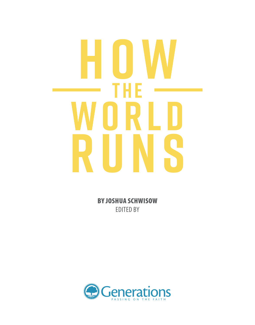# **HOW RLU**<br>NS **RUNS THE**

BY JOSHUA SCHWISOW EDITED BY

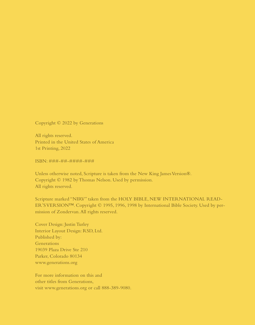Copyright © 2022 by Generations

All rights reserved. Printed in the United States of America 1st Printing, 2022

ISBN: ###-##-####-###

Unless otherwise noted, Scripture is taken from the New King James Version®. Copyright © 1982 by Thomas Nelson. Used by permission. All rights reserved.

Scripture marked "NIRV" taken from the HOLY BIBLE, NEW INTERNATIONAL READ-ER'S VERSION™. Copyright © 1995, 1996, 1998 by International Bible Society. Used by permission of Zondervan. All rights reserved.

Cover Design: Justin Turley Interior Layout Design: RSD, Ltd. Published by: **Generations** 19039 Plaza Drive Ste 210 Parker, Colorado 80134 www.generations.org

For more information on this and other titles from Generations, visit www.generations.org or call 888-389-9080.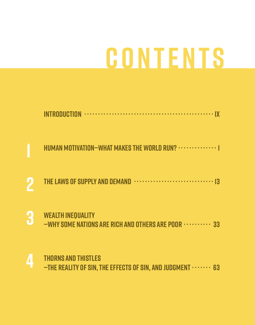## **GONTENTS**

|   | INTRODUCTION MARKET IN THE RESERVE THE RESERVE THAT HE RESERVE THE RESERVE THAT HE RESERVE THE RESERVE THAT HE |
|---|----------------------------------------------------------------------------------------------------------------|
|   | HUMAN MOTIVATION-WHAT MAKES THE WORLD RUN?  [                                                                  |
|   |                                                                                                                |
| 3 | <b>WEALTH INEQUALITY</b><br>-WHY SOME NATIONS ARE RICH AND OTHERS ARE POOR  33                                 |
|   | <b>EXAMPLE THORNS AND THISTIFS</b>                                                                             |

4 -THE REALITY OF SIN, THE EFFECTS OF SIN, AND JUDGMENT  $\cdots$  63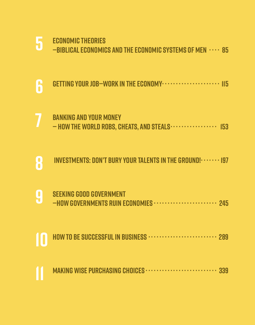|    | ECUNUMIC IHEURIES<br>-BIBLICAL ECONOMICS AND THE ECONOMIC SYSTEMS OF MEN  85   |
|----|--------------------------------------------------------------------------------|
| 6  | GETTING YOUR JOB-WORK IN THE ECONOMY ······················ 115                |
|    | <b>BANKING AND YOUR MONEY</b><br>- HOW THE WORLD ROBS, CHEATS, AND STEALS  153 |
| 8  | <b>INVESTMENTS: DON'T BURY YOUR TALENTS IN THE GROUND! · · · · · · · 197</b>   |
| Ů  | <b>SEEKING GOOD GOVERNMENT</b><br>-HOW GOVERNMENTS RUIN ECONOMIES  245         |
| IU | HOW TO BE SUCCESSFUL IN BUSINESS  289                                          |
|    | MAKING WISE PURCHASING CHOICES  339                                            |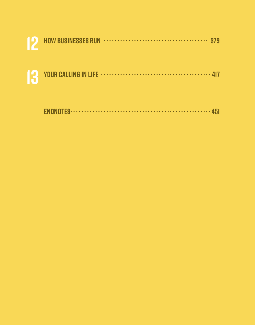|  | 13 YOUR CALLING IN LIFE |
|--|-------------------------|

|--|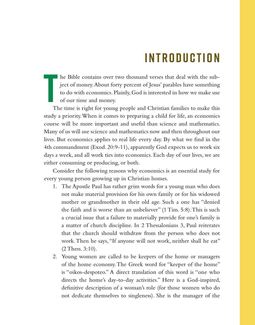### **I n t r o d u c t i o n**

he Bible contains over two thousand verses that deal with the subject of money. About forty percent of Jesus' parables have something to do with economics. Plainly, God is interested in how we make use of our time and money.

**T**<br>TH The time is right for young people and Christian families to make this study a priority. When it comes to preparing a child for life, an economics course will be more important and useful than science and mathematics. Many of us will use science and mathematics now and then throughout our lives. But economics applies to real life every day. By what we find in the 4th commandment (Exod. 20:9-11), apparently God expects us to work six days a week, and all work ties into economics. Each day of our lives, we are either consuming or producing, or both.

Consider the following reasons why economics is an essential study for every young person growing up in Christian homes.

- 1. The Apostle Paul has rather grim words for a young man who does not make material provision for his own family or for his widowed mother or grandmother in their old age. Such a one has "denied the faith and is worse than an unbeliever" (1 Tim. 5:8). This is such a crucial issue that a failure to materially provide for one's family is a matter of church discipline. In 2 Thessalonians 3, Paul reiterates that the church should withdraw from the person who does not work. Then he says, "If anyone will not work, neither shall he eat" (2 Thess. 3:10).
- 2. Young women are called to be keepers of the home or managers of the home economy. The Greek word for "keeper of the home" is "oikos-despoteo." A direct translation of this word is "one who directs the home's day-to-day activities." Here is a God-inspired, definitive description of a woman's role (for those women who do not dedicate themselves to singleness). She is the manager of the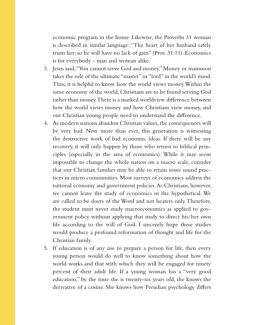economic program in the home. Likewise, the Proverbs 31 woman is described in similar language: "The heart of her husband safely trusts her; so he will have no lack of gain" (Prov. 31:11). Economics is for everybody - man and woman alike.

- 3. Jesus said, "You cannot serve God and money." Money or mammon takes the role of the ultimate "master" or "lord" in the world's mind. Thus, it is helpful to know how the world views money. Within the same economy of the world, Christians are to be found serving God rather than money. There is a marked worldview difference between how the world views money and how Christians view money, and our Christian young people need to understand the difference.
- 4. As modern nations abandon Christian values, the consequences will be very bad. Now more than ever, this generation is witnessing the destructive work of bad economic ideas. If there will be any recovery, it will only happen by those who return to biblical principles (especially in the area of economics). While it may seem impossible to change the whole nation on a macro scale, consider that our Christian families may be able to retain some sound practices in micro communities. Most surveys of economics address the national economy and government policies. As Christians, however, we cannot leave the study of economics in the hypothetical. We are called to be doers of the Word and not hearers only. Therefore, the student must never study macroeconomics as applied to government policy without applying that study to direct his/her own life according to the will of God. I sincerely hope these studies would produce a profound reformation of thought and life for the Christian family.
- 5. If education is of any use to prepare a person for life, then every young person would do well to know something about how the world works and that with which they will be engaged for ninety percent of their adult life. If a young woman has a "very good education," by the time she is twenty-six years old, she knows the derivative of a cosine. She knows how Freudian psychology differs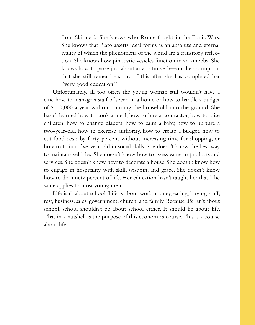from Skinner's. She knows who Rome fought in the Punic Wars. She knows that Plato asserts ideal forms as an absolute and eternal reality of which the phenomena of the world are a transitory reflection. She knows how pinocytic vesicles function in an amoeba. She knows how to parse just about any Latin verb—on the assumption that she still remembers any of this after she has completed her "very good education."

Unfortunately, all too often the young woman still wouldn't have a clue how to manage a staff of seven in a home or how to handle a budget of \$100,000 a year without running the household into the ground. She hasn't learned how to cook a meal, how to hire a contractor, how to raise children, how to change diapers, how to calm a baby, how to nurture a two-year-old, how to exercise authority, how to create a budget, how to cut food costs by forty percent without increasing time for shopping, or how to train a five-year-old in social skills. She doesn't know the best way to maintain vehicles. She doesn't know how to assess value in products and services. She doesn't know how to decorate a house. She doesn't know how to engage in hospitality with skill, wisdom, and grace. She doesn't know how to do ninety percent of life. Her education hasn't taught her that. The same applies to most young men.

Life isn't about school. Life is about work, money, eating, buying stuff, rest, business, sales, government, church, and family. Because life isn't about school, school shouldn't be about school either. It should be about life. That in a nutshell is the purpose of this economics course. This is a course about life.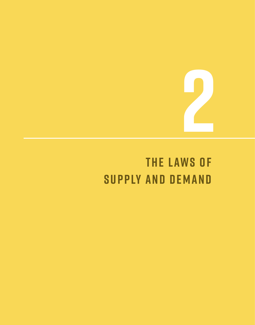## **THE LAWS OF SUPPLY AND DEMAND**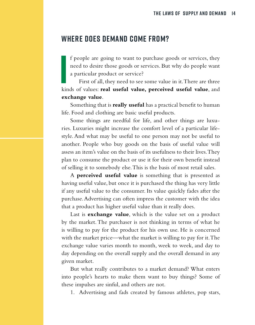#### **Where does demand come from?**

I people are going to want to purchase goods or services, they need to desire those goods or services. But why do people want a particular product or service?<br>First of all, they need to see some value in it. There are thre f people are going to want to purchase goods or services, they need to desire those goods or services. But why do people want a particular product or service?

First of all, they need to see some value in it. There are three **exchange value**.

Something that is **really useful** has a practical benefit to human life. Food and clothing are basic useful products.

Some things are needful for life, and other things are luxuries. Luxuries might increase the comfort level of a particular lifestyle. And what may be useful to one person may not be useful to another. People who buy goods on the basis of useful value will assess an item's value on the basis of its usefulness to their lives. They plan to consume the product or use it for their own benefit instead of selling it to somebody else. This is the basis of most retail sales.

A **perceived useful value** is something that is presented as having useful value, but once it is purchased the thing has very little if any useful value to the consumer. Its value quickly fades after the purchase. Advertising can often impress the customer with the idea that a product has higher useful value than it really does.

Last is **exchange value**, which is the value set on a product by the market. The purchaser is not thinking in terms of what he is willing to pay for the product for his own use. He is concerned with the market price—what the market is willing to pay for it. The exchange value varies month to month, week to week, and day to day depending on the overall supply and the overall demand in any given market.

But what really contributes to a market demand? What enters into people's hearts to make them want to buy things? Some of these impulses are sinful, and others are not.

1. Advertising and fads created by famous athletes, pop stars,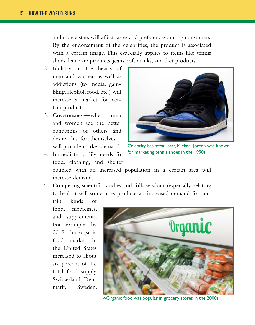and movie stars will affect tastes and preferences among consumers. By the endorsement of the celebrities, the product is associated with a certain image. This especially applies to items like tennis shoes, hair care products, jeans, soft drinks, and diet products.

- 2. Idolatry in the hearts of men and women as well as addictions (to media, gambling, alcohol, food, etc.) will increase a market for certain products.
- 3. Covetousness—when men and women see the better conditions of others and desire this for themselves will provide market demand.
- 4. Immediate bodily needs for food, clothing, and shelter



Celebrity basketball star, Michael Jordan was known for marketing tennis shoes in the 1990s.

coupled with an increased population in a certain area will increase demand.

5. Competing scientific studies and folk wisdom (especially relating to health) will sometimes produce an increased demand for cer-

tain kinds of food, medicines, and supplements. For example, by 2018, the organic food market in the United States increased to about six percent of the total food supply. Switzerland, Denmark, Sweden,



wOrganic food was popular in grocery stores in the 2000s.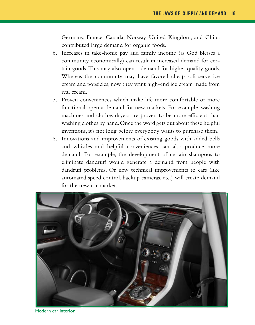Germany, France, Canada, Norway, United Kingdom, and China contributed large demand for organic foods.

- 6. Increases in take-home pay and family income (as God blesses a community economically) can result in increased demand for certain goods. This may also open a demand for higher quality goods. Whereas the community may have favored cheap soft-serve ice cream and popsicles, now they want high-end ice cream made from real cream.
- 7. Proven conveniences which make life more comfortable or more functional open a demand for new markets. For example, washing machines and clothes dryers are proven to be more efficient than washing clothes by hand. Once the word gets out about these helpful inventions, it's not long before everybody wants to purchase them.
- 8. Innovations and improvements of existing goods with added bells and whistles and helpful conveniences can also produce more demand. For example, the development of certain shampoos to eliminate dandruff would generate a demand from people with dandruff problems. Or new technical improvements to cars (like automated speed control, backup cameras, etc.) will create demand for the new car market.



Modern car interior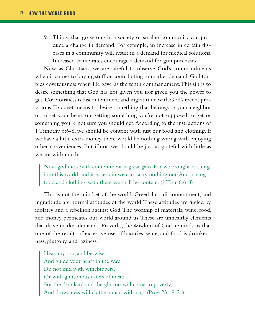9. Things that go wrong in a society or smaller community can produce a change in demand. For example, an increase in certain diseases in a community will result in a demand for medical solutions. Increased crime rates encourage a demand for gun purchases.

Now, as Christians, we are careful to observe God's commandments when it comes to buying stuff or contributing to market demand. God forbids covetousness when He gave us the tenth commandment. This sin is to desire something that God has not given you nor given you the power to get. Covetousness is discontentment and ingratitude with God's recent provisions. To covet means to desire something that belongs to your neighbor or to set your heart on getting something you're not supposed to get or something you're not sure you should get. According to the instructions of 1 Timothy 6:6-8, we should be content with just our food and clothing. If we have a little extra money, there would be nothing wrong with enjoying other conveniences. But if not, we should be just as grateful with little as we are with much.

Now godliness with contentment is great gain. For we brought nothing into this world, and it is certain we can carry nothing out. And having food and clothing, with these we shall be content. (1 Tim. 6:6-8)

This is not the mindset of the world. Greed, lust, discontentment, and ingratitude are normal attitudes of the world. These attitudes are fueled by idolatry and a rebellion against God. The worship of materials, wine, food, and money permeates our world around us. These are unhealthy elements that drive market demands. Proverbs, the Wisdom of God, reminds us that one of the results of excessive use of luxuries, wine, and food is drunkenness, gluttony, and laziness.

Hear, my son, and be wise; And guide your heart in the way. Do not mix with winebibbers, Or with gluttonous eaters of meat; For the drunkard and the glutton will come to poverty, And drowsiness will clothe a man with rags. (Prov. 23:19-21)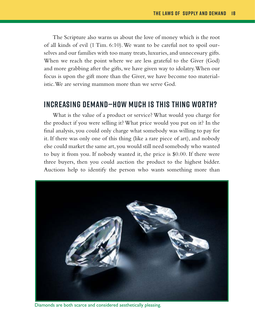The Scripture also warns us about the love of money which is the root of all kinds of evil (1 Tim. 6:10). We want to be careful not to spoil ourselves and our families with too many treats, luxuries, and unnecessary gifts. When we reach the point where we are less grateful to the Giver (God) and more grabbing after the gifts, we have given way to idolatry. When our focus is upon the gift more than the Giver, we have become too materialistic. We are serving mammon more than we serve God.

#### **Increasing Demand—How Much is This Thing Worth?**

What is the value of a product or service? What would you charge for the product if you were selling it? What price would you put on it? In the final analysis, you could only charge what somebody was willing to pay for it. If there was only one of this thing (like a rare piece of art), and nobody else could market the same art, you would still need somebody who wanted to buy it from you. If nobody wanted it, the price is \$0.00. If there were three buyers, then you could auction the product to the highest bidder. Auctions help to identify the person who wants something more than



Diamonds are both scarce and considered aesthetically pleasing.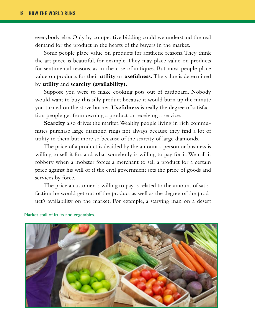everybody else. Only by competitive bidding could we understand the real demand for the product in the hearts of the buyers in the market.

Some people place value on products for aesthetic reasons. They think the art piece is beautiful, for example. They may place value on products for sentimental reasons, as in the case of antiques. But most people place value on products for their **utility** or **usefulness.** The value is determined by **utility** and **scarcity (availability).** 

Suppose you were to make cooking pots out of cardboard. Nobody would want to buy this silly product because it would burn up the minute you turned on the stove burner. **Usefulness** is really the degree of satisfaction people get from owning a product or receiving a service.

**Scarcity** also drives the market. Wealthy people living in rich communities purchase large diamond rings not always because they find a lot of utility in them but more so because of the scarcity of large diamonds.

The price of a product is decided by the amount a person or business is willing to sell it for, and what somebody is willing to pay for it. We call it robbery when a mobster forces a merchant to sell a product for a certain price against his will or if the civil government sets the price of goods and services by force.

The price a customer is willing to pay is related to the amount of satisfaction he would get out of the product as well as the degree of the product's availability on the market. For example, a starving man on a desert



Market stall of fruits and vegetables.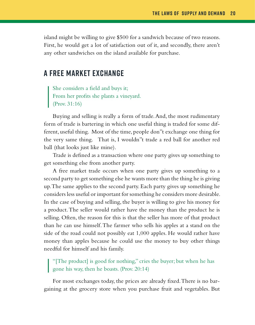island might be willing to give \$500 for a sandwich because of two reasons. First, he would get a lot of satisfaction out of it, and secondly, there aren't any other sandwiches on the island available for purchase.

#### **A Free Market Exchange**

She considers a field and buys it; From her profits she plants a vineyard. (Prov. 31:16)

Buying and selling is really a form of trade. And, the most rudimentary form of trade is bartering in which one useful thing is traded for some different, useful thing. Most of the time, people don''t exchange one thing for the very same thing. That is, I wouldn''t trade a red ball for another red ball (that looks just like mine).

Trade is defined as a transaction where one party gives up something to get something else from another party.

A free market trade occurs when one party gives up something to a second party to get something else he wants more than the thing he is giving up. The same applies to the second party. Each party gives up something he considers less useful or important for something he considers more desirable. In the case of buying and selling, the buyer is willing to give his money for a product. The seller would rather have the money than the product he is selling. Often, the reason for this is that the seller has more of that product than he can use himself. The farmer who sells his apples at a stand on the side of the road could not possibly eat 1,000 apples. He would rather have money than apples because he could use the money to buy other things needful for himself and his family.

"[The product] is good for nothing," cries the buyer; but when he has gone his way, then he boasts. (Prov. 20:14)

For most exchanges today, the prices are already fixed. There is no bargaining at the grocery store when you purchase fruit and vegetables. But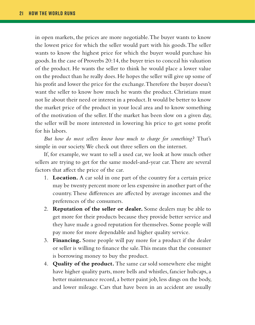in open markets, the prices are more negotiable. The buyer wants to know the lowest price for which the seller would part with his goods. The seller wants to know the highest price for which the buyer would purchase his goods. In the case of Proverbs 20:14, the buyer tries to conceal his valuation of the product. He wants the seller to think he would place a lower value on the product than he really does. He hopes the seller will give up some of his profit and lower the price for the exchange. Therefore the buyer doesn't want the seller to know how much he wants the product. Christians must not lie about their need or interest in a product. It would be better to know the market price of the product in your local area and to know something of the motivation of the seller. If the market has been slow on a given day, the seller will be more interested in lowering his price to get some profit for his labors.

*But how do most sellers know how much to charge for something?* That's simple in our society. We check out three sellers on the internet.

If, for example, we want to sell a used car, we look at how much other sellers are trying to get for the same model-and-year car. There are several factors that affect the price of the car.

- 1. **Location.** A car sold in one part of the country for a certain price may be twenty percent more or less expensive in another part of the country. These differences are affected by average incomes and the preferences of the consumers.
- 2. **Reputation of the seller or dealer.** Some dealers may be able to get more for their products because they provide better service and they have made a good reputation for themselves. Some people will pay more for more dependable and higher quality service.
- 3. **Financing.** Some people will pay more for a product if the dealer or seller is willing to finance the sale. This means that the consumer is borrowing money to buy the product.
- 4. **Quality of the product.** The same car sold somewhere else might have higher quality parts, more bells and whistles, fancier hubcaps, a better maintenance record, a better paint job, less dings on the body, and lower mileage. Cars that have been in an accident are usually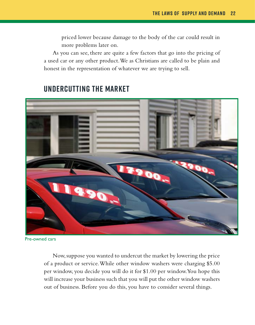priced lower because damage to the body of the car could result in more problems later on.

As you can see, there are quite a few factors that go into the pricing of a used car or any other product. We as Christians are called to be plain and honest in the representation of whatever we are trying to sell.



#### **Undercutting the Market**

Pre-owned cars

Now, suppose you wanted to undercut the market by lowering the price of a product or service. While other window washers were charging \$5.00 per window, you decide you will do it for \$1.00 per window. You hope this will increase your business such that you will put the other window washers out of business. Before you do this, you have to consider several things.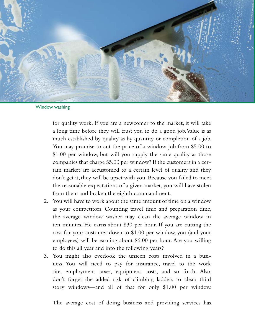

Window washing

for quality work. If you are a newcomer to the market, it will take a long time before they will trust you to do a good job. Value is as much established by quality as by quantity or completion of a job. You may promise to cut the price of a window job from \$5.00 to \$1.00 per window, but will you supply the same quality as those companies that charge \$5.00 per window? If the customers in a certain market are accustomed to a certain level of quality and they don't get it, they will be upset with you. Because you failed to meet the reasonable expectations of a given market, you will have stolen from them and broken the eighth commandment.

- 2. You will have to work about the same amount of time on a window as your competitors. Counting travel time and preparation time, the average window washer may clean the average window in ten minutes. He earns about \$30 per hour. If you are cutting the cost for your customer down to \$1.00 per window, you (and your employees) will be earning about \$6.00 per hour. Are you willing to do this all year and into the following years?
- 3. You might also overlook the unseen costs involved in a business. You will need to pay for insurance, travel to the work site, employment taxes, equipment costs, and so forth. Also, don't forget the added risk of climbing ladders to clean third story windows—and all of that for only \$1.00 per window.

The average cost of doing business and providing services has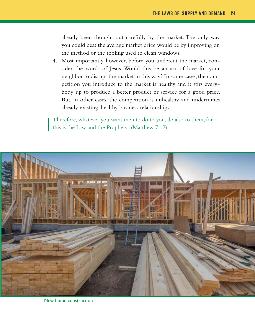already been thought out carefully by the market. The only way you could beat the average market price would be by improving on the method or the tooling used to clean windows.

4. Most importantly however, before you undercut the market, consider the words of Jesus. Would this be an act of love for your neighbor to disrupt the market in this way? In some cases, the competition you introduce to the market is healthy and it stirs everybody up to produce a better product or service for a good price. But, in other cases, the competition is unhealthy and undermines already existing, healthy business relationships.

Therefore, whatever you want men to do to you, do also to them, for this is the Law and the Prophets. (Matthew 7:12)



New home construction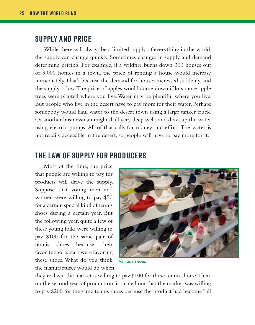#### **Supply and Price**

While there will always be a limited supply of everything in the world, the supply can change quickly. Sometimes changes in supply and demand determine pricing. For example, if a wildfire burns down 300 houses out of 3,000 homes in a town, the price of renting a house would increase immediately. That's because the demand for houses increased suddenly, and the supply is low. The price of apples would come down if lots more apple trees were planted where you live. Water may be plentiful where you live. But people who live in the desert have to pay more for their water. Perhaps somebody would haul water to the desert town using a large tanker truck. Or another businessman might drill very deep wells and draw up the water using electric pumps. All of that calls for money and effort. The water is not readily accessible in the desert, so people will have to pay more for it.

#### **The Law of Supply for Producers**

Most of the time, the price that people are willing to pay for products will drive the supply. Suppose that young men and women were willing to pay \$50 for a certain special kind of tennis shoes during a certain year. But the following year, quite a few of these young folks were willing to pay \$100 for the same pair of tennis shoes because their favorite sports stars were favoring these shoes. What do you think the manufacturer would do when



Various shoes

they realized the market is willing to pay \$100 for these tennis shoes? Then, on the second year of production, it turned out that the market was willing to pay \$200 for the same tennis shoes because the product had become "all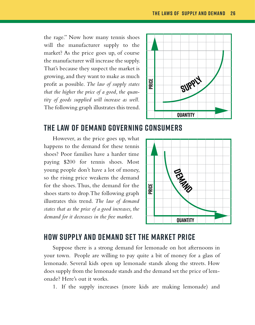the rage." Now how many tennis shoes will the manufacturer supply to the market? As the price goes up, of course the manufacturer will increase the supply. That's because they suspect the market is growing, and they want to make as much profit as possible. *The law of supply states that the higher the price of a good, the quantity of goods supplied will increase as well.* The following graph illustrates this trend.



#### **The Law of Demand Governing Consumers**

However, as the price goes up, what happens to the demand for these tennis shoes? Poor families have a harder time paying \$200 for tennis shoes. Most young people don't have a lot of money, so the rising price weakens the demand for the shoes. Thus, the demand for the shoes starts to drop. The following graph illustrates this trend. *The law of demand states that as the price of a good increases, the demand for it decreases in the free market.*



#### **How Supply and Demand Set the Market Price**

Suppose there is a strong demand for lemonade on hot afternoons in your town. People are willing to pay quite a bit of money for a glass of lemonade. Several kids open up lemonade stands along the streets. How does supply from the lemonade stands and the demand set the price of lemonade? Here's out it works.

1. If the supply increases (more kids are making lemonade) and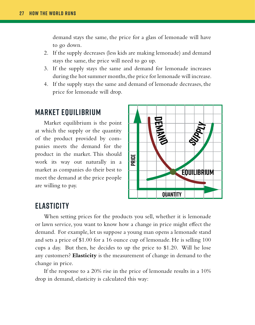demand stays the same, the price for a glass of lemonade will have to go down.

- 2. If the supply decreases (less kids are making lemonade) and demand stays the same, the price will need to go up.
- 3. If the supply stays the same and demand for lemonade increases during the hot summer months, the price for lemonade will increase.
- 4. If the supply stays the same and demand of lemonade decreases, the price for lemonade will drop.

#### **Market Equilibrium**

Market equilibrium is the point at which the supply or the quantity of the product provided by companies meets the demand for the product in the market. This should work its way out naturally in a market as companies do their best to meet the demand at the price people are willing to pay.



#### **Elasticity**

When setting prices for the products you sell, whether it is lemonade or lawn service, you want to know how a change in price might effect the demand. For example, let us suppose a young man opens a lemonade stand and sets a price of \$1.00 for a 16 ounce cup of lemonade. He is selling 100 cups a day. But then, he decides to up the price to \$1.20. Will he lose any customers? **Elasticity** is the measurement of change in demand to the change in price.

If the response to a 20% rise in the price of lemonade results in a 10% drop in demand, elasticity is calculated this way: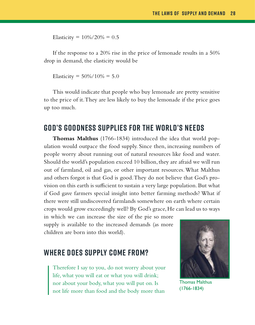Elasticity =  $10\%/20\% = 0.5$ 

If the response to a 20% rise in the price of lemonade results in a 50% drop in demand, the elasticity would be

Elasticity =  $50\%/10\% = 5.0$ 

This would indicate that people who buy lemonade are pretty sensitive to the price of it. They are less likely to buy the lemonade if the price goes up too much.

#### **God's Goodness Supplies for the World's Needs**

**Thomas Malthus** (1766-1834) introduced the idea that world population would outpace the food supply. Since then, increasing numbers of people worry about running out of natural resources like food and water. Should the world's population exceed 10 billion, they are afraid we will run out of farmland, oil and gas, or other important resources. What Malthus and others forgot is that God is good. They do not believe that God's provision on this earth is sufficient to sustain a very large population. But what if God gave farmers special insight into better farming methods? What if there were still undiscovered farmlands somewhere on earth where certain crops would grow exceedingly well? By God's grace, He can lead us to ways

in which we can increase the size of the pie so more supply is available to the increased demands (as more children are born into this world).

#### **Where Does Supply Come From?**

Therefore I say to you, do not worry about your life, what you will eat or what you will drink; nor about your body, what you will put on. Is not life more than food and the body more than



Thomas Malthus (1766-1834)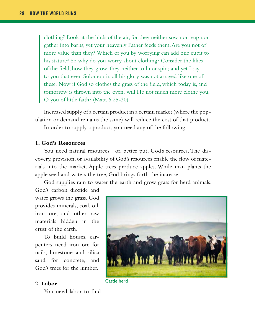clothing? Look at the birds of the air, for they neither sow nor reap nor gather into barns; yet your heavenly Father feeds them. Are you not of more value than they? Which of you by worrying can add one cubit to his stature? So why do you worry about clothing? Consider the lilies of the field, how they grow: they neither toil nor spin; and yet I say to you that even Solomon in all his glory was not arrayed like one of these. Now if God so clothes the grass of the field, which today is, and tomorrow is thrown into the oven, will He not much more clothe you, O you of little faith? (Matt. 6:25-30)

Increased supply of a certain product in a certain market (where the population or demand remains the same) will reduce the cost of that product.

In order to supply a product, you need any of the following:

#### **1. God's Resources**

You need natural resources—or, better put, God's resources. The discovery, provision, or availability of God's resources enable the flow of materials into the market. Apple trees produce apples. While man plants the apple seed and waters the tree, God brings forth the increase.

God supplies rain to water the earth and grow grass for herd animals.

God's carbon dioxide and water grows the grass. God provides minerals, coal, oil, iron ore, and other raw materials hidden in the crust of the earth.

To build houses, carpenters need iron ore for nails, limestone and silica sand for concrete, and God's trees for the lumber.

#### **2. Labor**

You need labor to find



Cattle herd Tools are necessary to get certain kinds of work down to get certain kinds of work down to get certain kinds of work down to get certain kinds of work down to get certain kinds of work down to get certain kinds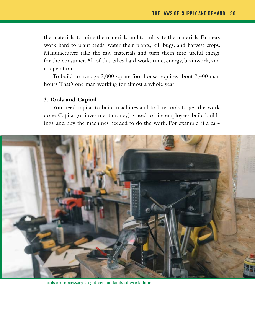the materials, to mine the materials, and to cultivate the materials. Farmers work hard to plant seeds, water their plants, kill bugs, and harvest crops. Manufacturers take the raw materials and turn them into useful things for the consumer. All of this takes hard work, time, energy, brainwork, and cooperation.

To build an average 2,000 square foot house requires about 2,400 man hours. That's one man working for almost a whole year.

#### **3. Tools and Capital**

You need capital to build machines and to buy tools to get the work done. Capital (or investment money) is used to hire employees, build buildings, and buy the machines needed to do the work. For example, if a car-



Tools are necessary to get certain kinds of work done.